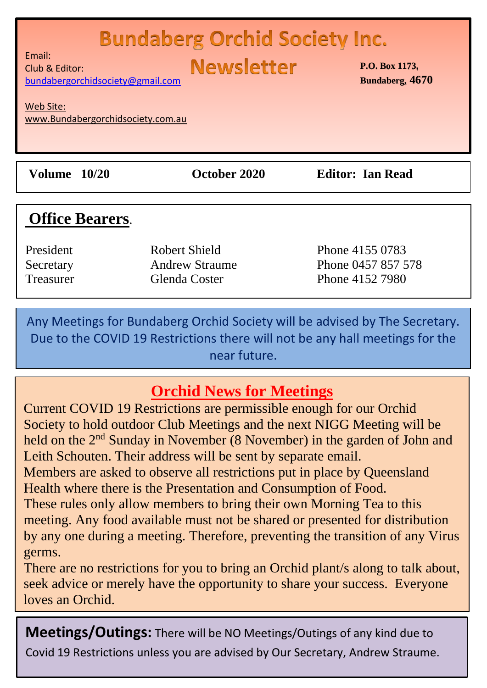#### ……………………………………………………………………………………  $\blacksquare$  . Duridaberg C

**Newsletter** 

Email: Club & Editor: [bundabergorchidsociety@gmail.com](mailto:bundabergorchidsociety@gmail.com)

Web Site: www.Bundabergorchidsociety.com.au

**Volume 10/20 October 2020 Editor: Ian Read**

# **Office Bearers**.

President Robert Shield Phone 4155 0783 Secretary **Andrew Straume** Phone 0457 857 578 Treasurer Glenda Coster Phone 4152 7980

Any Meetings for Bundaberg Orchid Society will be advised by The Secretary. Due to the COVID 19 Restrictions there will not be any hall meetings for the near future.

# **Orchid News for Meetings**

Current COVID 19 Restrictions are permissible enough for our Orchid Society to hold outdoor Club Meetings and the next NIGG Meeting will be held on the 2<sup>nd</sup> Sunday in November (8 November) in the garden of John and Leith Schouten. Their address will be sent by separate email. Members are asked to observe all restrictions put in place by Queensland Health where there is the Presentation and Consumption of Food. These rules only allow members to bring their own Morning Tea to this meeting. Any food available must not be shared or presented for distribution by any one during a meeting. Therefore, preventing the transition of any Virus germs.

There are no restrictions for you to bring an Orchid plant/s along to talk about, seek advice or merely have the opportunity to share your success. Everyone loves an Orchid.

**Meetings/Outings:** There will be NO Meetings/Outings of any kind due to Covid 19 Restrictions unless you are advised by Our Secretary, Andrew Straume.

**P.O. Box 1173, Bundaberg, 4670**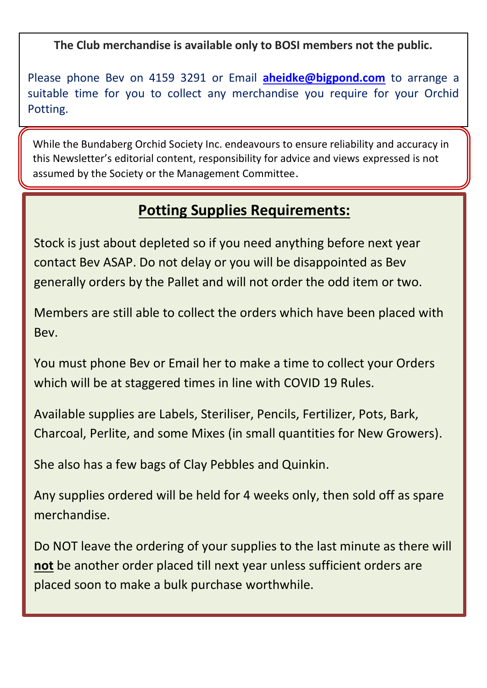**The Club merchandise is available only to BOSI members not the public.**

Please phone Bev on 4159 3291 or Email **[aheidke@bigpond.com](mailto:aheidke@bigpond.com)** to arrange a suitable time for you to collect any merchandise you require for your Orchid Potting.

While the Bundaberg Orchid Society Inc. endeavours to ensure reliability and accuracy in this Newsletter's editorial content, responsibility for advice and views expressed is not assumed by the Society or the Management Committee.

### **Potting Supplies Requirements:**

Stock is just about depleted so if you need anything before next year contact Bev ASAP. Do not delay or you will be disappointed as Bev generally orders by the Pallet and will not order the odd item or two.

Members are still able to collect the orders which have been placed with Bev.

You must phone Bev or Email her to make a time to collect your Orders which will be at staggered times in line with COVID 19 Rules.

Available supplies are Labels, Steriliser, Pencils, Fertilizer, Pots, Bark, Charcoal, Perlite, and some Mixes (in small quantities for New Growers).

She also has a few bags of Clay Pebbles and Quinkin.

**Phone Bev:** (07)4159 3291

Any supplies ordered will be held for 4 weeks only, then sold off as spare merchandise.

Do NOT leave the ordering of your supplies to the last minute as there will **not** be another order placed till next year unless sufficient orders are placed soon to make a bulk purchase worthwhile.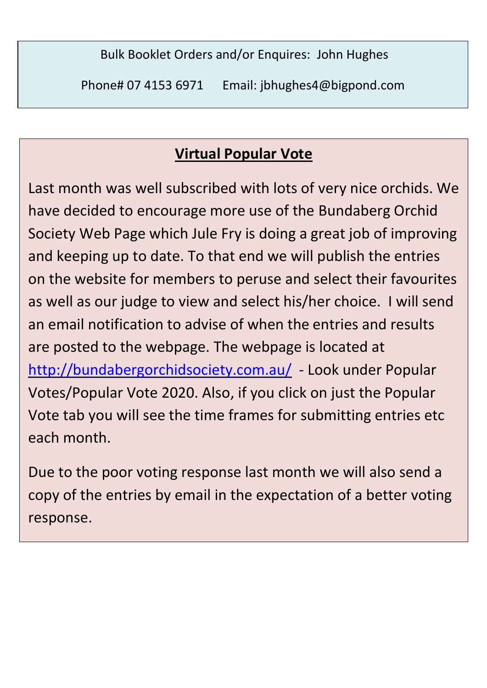Bulk Booklet Orders and/or Enquires: John Hughes

Phone# 07 4153 6971 Email: jbhughes4@bigpond.com

# **Virtual Popular Vote**

Last month was well subscribed with lots of very nice orchids. We have decided to encourage more use of the Bundaberg Orchid Society Web Page which Jule Fry is doing a great job of improving and keeping up to date. To that end we will publish the entries on the website for members to peruse and select their favourites as well as our judge to view and select his/her choice. I will send an email notification to advise of when the entries and results are posted to the webpage. The webpage is located at <http://bundabergorchidsociety.com.au/>- Look under Popular Votes/Popular Vote 2020. Also, if you click on just the Popular Vote tab you will see the time frames for submitting entries etc each month.

Due to the poor voting response last month we will also send a copy of the entries by email in the expectation of a better voting response.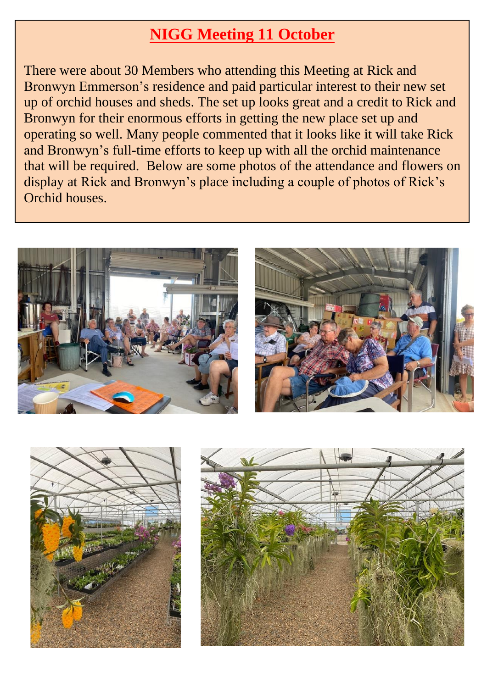# **NIGG Meeting 11 October**

There were about 30 Members who attending this Meeting at Rick and Bronwyn Emmerson's residence and paid particular interest to their new set up of orchid houses and sheds. The set up looks great and a credit to Rick and Bronwyn for their enormous efforts in getting the new place set up and operating so well. Many people commented that it looks like it will take Rick and Bronwyn's full-time efforts to keep up with all the orchid maintenance that will be required. Below are some photos of the attendance and flowers on display at Rick and Bronwyn's place including a couple of photos of Rick's Orchid houses.







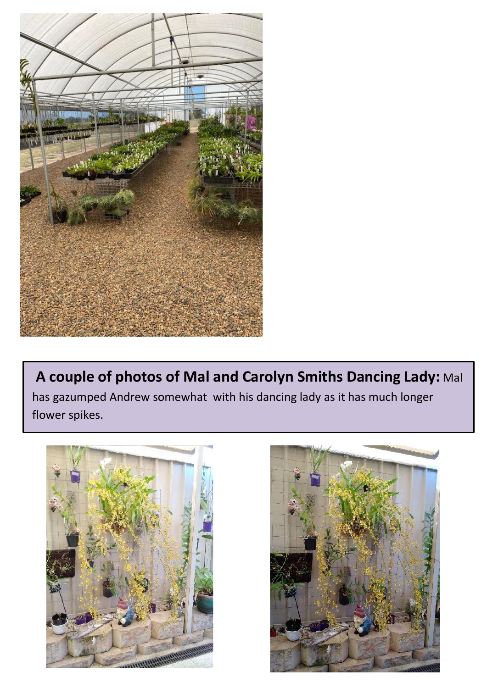

**A couple of photos of Mal and Carolyn Smiths Dancing Lady:** Mal has gazumped Andrew somewhat with his dancing lady as it has much longer flower spikes.



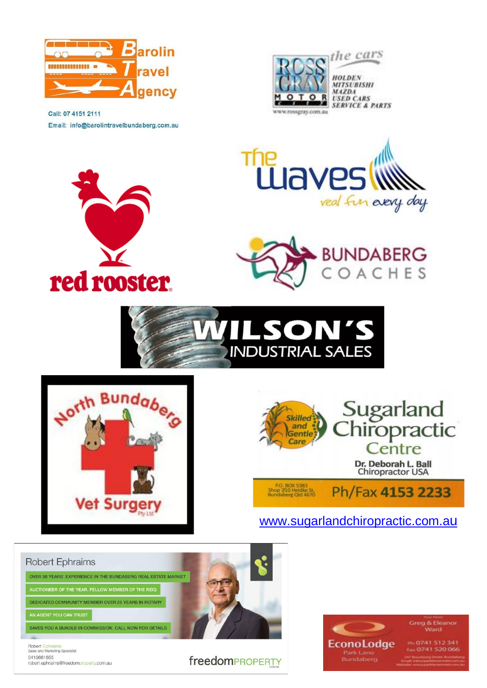

Email: info@barolintravelbundaberg.com.au

red rooster.

Call: 07 4151 2111

the cars Krossgray.com.au

HOLDEN **MITSURISHI MAZDA USED CARS SERVICE & PARTS** 











[www.sugarlandchiropractic.com.a](http://www.sugarlandchiropractic.com.au/)[u](http://www.sugarlandchiropractic.com.au/)





**March**